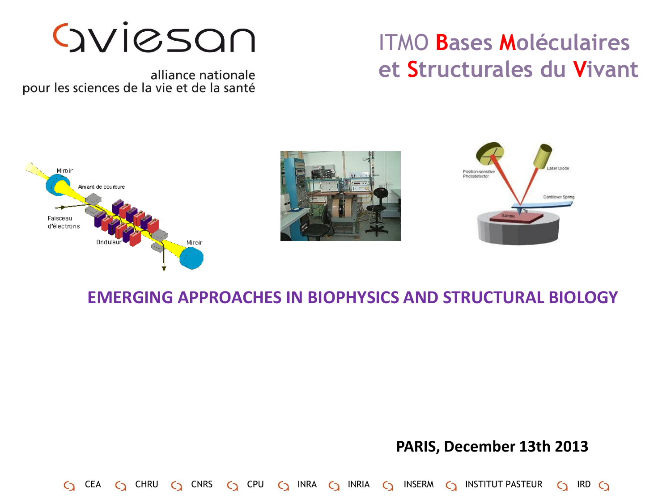#### ITMO **Bases Moléculaires et Structurales du Vivant**

Gylesan

alliance nationale pour les sciences de la vie et de la santé

 $\mathsf{C}\mathsf{D}$ 



#### **EMERGING APPROACHES IN BIOPHYSICS AND STRUCTURAL BIOLOGY**

CEA C CHRU C CNRS C CPU C INRA C INRIA C INSERM C INSTITUT PASTEUR C IRD C

#### **PARIS, December 13th 2013**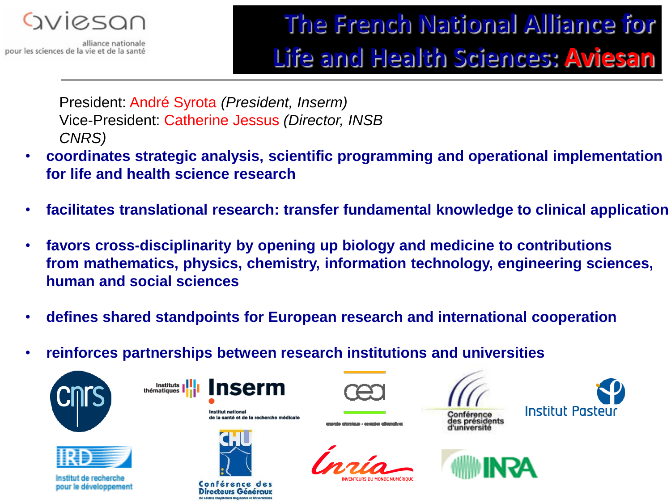

alliance nationale pour les sciences de la vie et de la santé

# **The French National Alliance for Life and Health Sciences: Aviesan**

President: André Syrota *(President, Inserm)* Vice-President: Catherine Jessus *(Director, INSB CNRS)*

- **coordinates strategic analysis, scientific programming and operational implementation for life and health science research**
- **facilitates translational research: transfer fundamental knowledge to clinical application**
- **favors cross-disciplinarity by opening up biology and medicine to contributions from mathematics, physics, chemistry, information technology, engineering sciences, human and social sciences**
- **defines shared standpoints for European research and international cooperation**
- **reinforces partnerships between research institutions and universities**





Institut de recherche pour le développement



thématiques







anaania minosimus , aasanias milaass







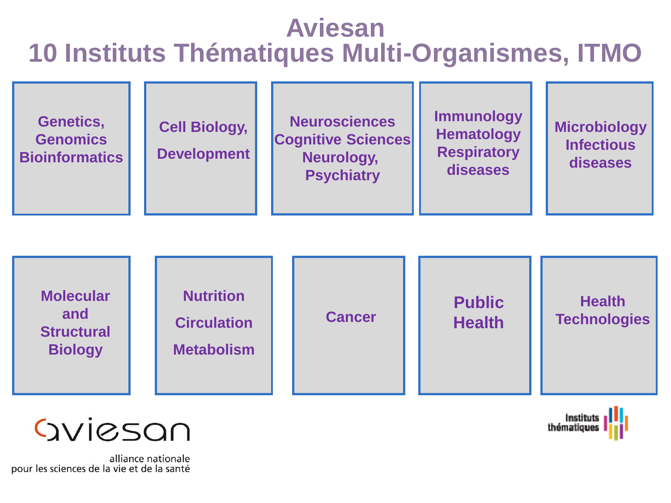# **Aviesan 10 Instituts Thématiques Multi-Organismes, ITMO**



thématiques



alliance nationale pour les sciences de la vie et de la santé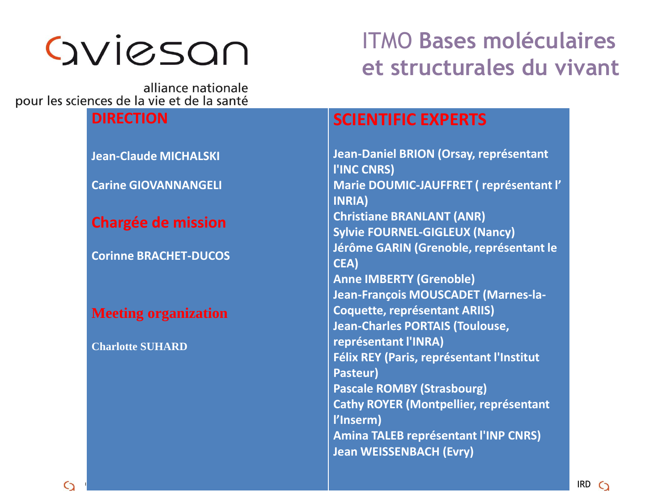# Gylesan

### ITMO **Bases moléculaires et structurales du vivant**

alliance nationale pour les sciences de la vie et de la santé

# **DIRECTION Jean-Claude MICHALSKI Carine GIOVANNANGELI Chargée de mission Corinne BRACHET-DUCOS Meeting organization**

**Charlotte SUHARD**

#### **SCIENTIFIC EXPERTS**

**Jean-Daniel BRION (Orsay, représentant l'INC CNRS) Marie DOUMIC-JAUFFRET ( représentant l' INRIA) Christiane BRANLANT (ANR) Sylvie FOURNEL-GIGLEUX (Nancy) Jérôme GARIN (Grenoble, représentant le CEA) Anne IMBERTY (Grenoble) Jean-François MOUSCADET (Marnes-la-Coquette, représentant ARIIS) Jean-Charles PORTAIS (Toulouse, représentant l'INRA) Félix REY (Paris, représentant l'Institut Pasteur) Pascale ROMBY (Strasbourg) Cathy ROYER (Montpellier, représentant l'Inserm) Amina TALEB représentant l'INP CNRS) Jean WEISSENBACH (Evry)**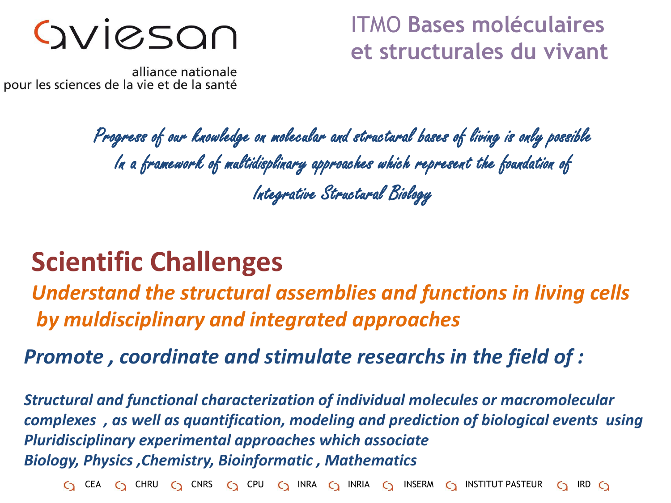OVIESON

ITMO **Bases moléculaires et structurales du vivant**

alliance nationale pour les sciences de la vie et de la santé

> Progress of our knowledge on molecular and structural bases of living is only possible In a framework of multidisplinary approaches which represent the foundation of Integrative Structural Biology

# **Scientific Challenges**

*Understand the structural assemblies and functions in living cells by muldisciplinary and integrated approaches*

*Promote , coordinate and stimulate researchs in the field of :*

*Structural and functional characterization of individual molecules or macromolecular complexes , as well as quantification, modeling and prediction of biological events using Pluridisciplinary experimental approaches which associate Biology, Physics ,Chemistry, Bioinformatic , Mathematics*

 $C_2$  CEA  $C_3$  CHRU  $C_2$  CNRS  $C_3$  CPU  $C_3$  INRA  $C_3$  INRIA  $C_3$  INSERM  $C_3$  INSTITUT PASTEUR  $C_3$  IRD  $C_3$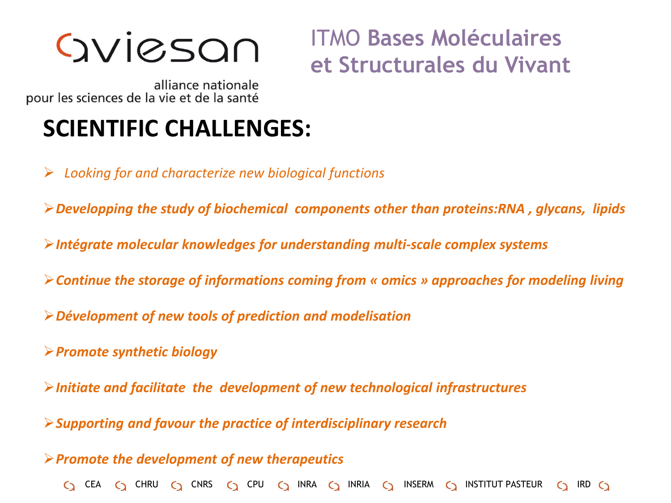Gyjesan

ITMO **Bases Moléculaires et Structurales du Vivant**

alliance nationale pour les sciences de la vie et de la santé

## **SCIENTIFIC CHALLENGES:**

*Looking for and characterize new biological functions*

*Developping the study of biochemical components other than proteins:RNA , glycans, lipids*

- *Intégrate molecular knowledges for understanding multi-scale complex systems*
- *Continue the storage of informations coming from « omics » approaches for modeling living*
- *Dévelopment of new tools of prediction and modelisation*
- *Promote synthetic biology*

*Initiate and facilitate the development of new technological infrastructures*

*Supporting and favour the practice of interdisciplinary research*

*Promote the development of new therapeutics*

 $\bigcirc$  cea  $\bigcirc$  chru  $\bigcirc$  cnrs  $\bigcirc$  cpu  $\bigcirc$  inra  $\bigcirc$  inria  $\bigcirc$  inserm  $\bigcirc$  institut pasteur  $\bigcirc$  ird  $\bigcirc$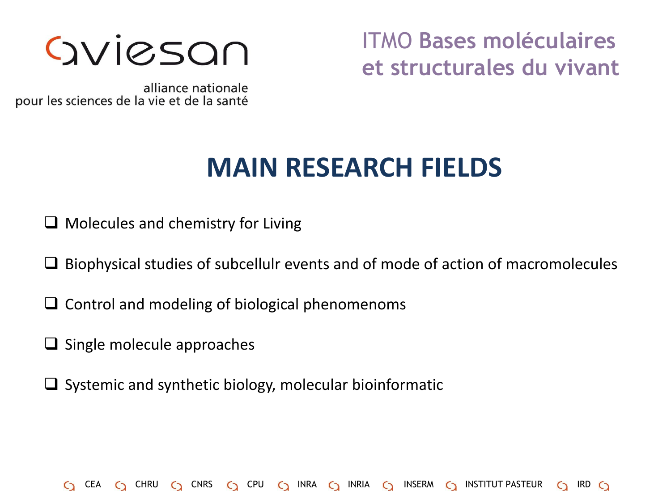

ITMO **Bases moléculaires et structurales du vivant**

alliance nationale pour les sciences de la vie et de la santé

# **MAIN RESEARCH FIELDS**

 $\Box$  Molecules and chemistry for Living

 $\Box$  Biophysical studies of subcellulr events and of mode of action of macromolecules

C CEA C CHRU C CNRS C CPU C INRA C INRIA C INSERM C INSTITUT PASTEUR C IRD C

- $\Box$  Control and modeling of biological phenomenoms
- $\Box$  Single molecule approaches
- $\Box$  Systemic and synthetic biology, molecular bioinformatic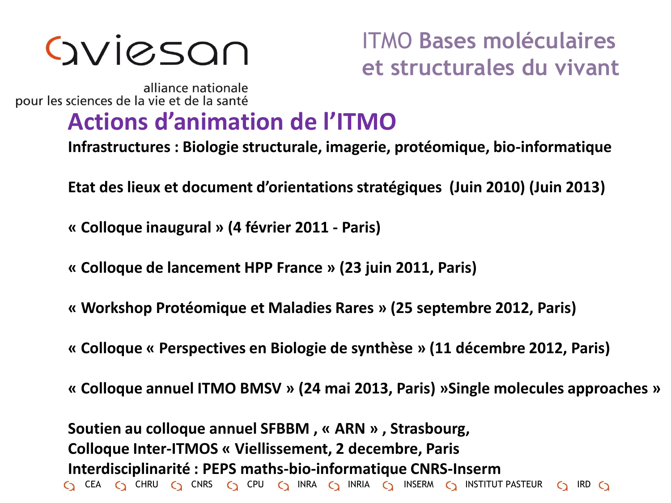# Gviesan

### ITMO **Bases moléculaires et structurales du vivant**

alliance nationale pour les sciences de la vie et de la santé

# **Actions d'animation de l'ITMO**

**Infrastructures : Biologie structurale, imagerie, protéomique, bio-informatique**

**Etat des lieux et document d'orientations stratégiques (Juin 2010) (Juin 2013)**

**« Colloque inaugural » (4 février 2011 - Paris)**

**« Colloque de lancement HPP France » (23 juin 2011, Paris)**

**« Workshop Protéomique et Maladies Rares » (25 septembre 2012, Paris)**

**« Colloque « Perspectives en Biologie de synthèse » (11 décembre 2012, Paris)**

**« Colloque annuel ITMO BMSV » (24 mai 2013, Paris) »Single molecules approaches »**

 $\bigcirc$  cea  $\bigcirc$  chru  $\bigcirc$  cnrs  $\bigcirc$  cpu  $\bigcirc$  inra  $\bigcirc$  inria  $\bigcirc$  inserm  $\bigcirc$  institut pasteur  $\bigcirc$  ird  $\bigcirc$ **Soutien au colloque annuel SFBBM , « ARN » , Strasbourg, Colloque Inter-ITMOS « Viellissement, 2 decembre, Paris Interdisciplinarité : PEPS maths-bio-informatique CNRS-Inserm**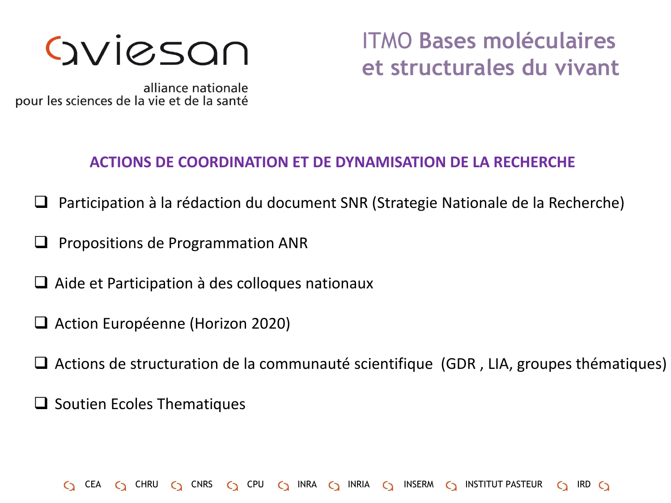# Gyjesan

## ITMO **Bases moléculaires et structurales du vivant**

alliance nationale pour les sciences de la vie et de la santé

#### **ACTIONS DE COORDINATION ET DE DYNAMISATION DE LA RECHERCHE**

- Participation à la rédaction du document SNR (Strategie Nationale de la Recherche)
- Propositions de Programmation ANR
- $\Box$  Aide et Participation à des colloques nationaux
- Action Européenne (Horizon 2020)
- □ Actions de structuration de la communauté scientifique (GDR, LIA, groupes thématiques)

C CEA C CHRU C CNRS C CPU C INRA C INRIA C INSERM C INSTITUT PASTEUR C IRD C

 $\Box$  Soutien Ecoles Thematiques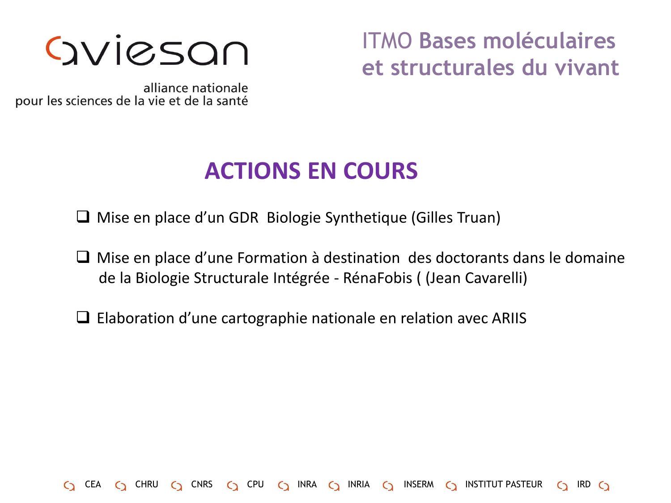

ITMO **Bases moléculaires et structurales du vivant**

alliance nationale pour les sciences de la vie et de la santé

### **ACTIONS EN COURS**

Mise en place d'un GDR Biologie Synthetique (Gilles Truan)

 $\Box$  Mise en place d'une Formation à destination des doctorants dans le domaine de la Biologie Structurale Intégrée - RénaFobis ( (Jean Cavarelli)

 $C_2$  CEA  $C_3$  CHRU  $C_2$  CNRS  $C_3$  CPU  $C_3$  INRA  $C_3$  INRIA  $C_3$  INSERM  $C_3$  INSTITUT PASTEUR  $C_3$  IRD  $C_3$ 

 $\Box$  Elaboration d'une cartographie nationale en relation avec ARIIS